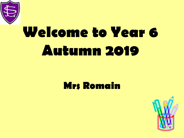

# **Welcome to Year 6 Autumn 2019**

### **Mrs Romain**

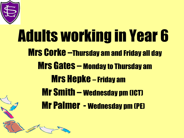

J

## Adults working in Year 6 Mrs Corke –Thursday am and Friday all day Mrs Gates – Monday to Thursday am Mrs Hepke – Friday am Mr Smith – Wednesday pm (ICT) Mr Palmer - Wednesday pm (PE)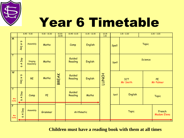

## Year 6 Timetable

|                                   | $8.45 - 9.30$                            |                     | $9.30 - 10.30$ | $\frac{10.30-}{10.45}$ | $10.45 - 11.15$   | $11.15 - 12.15$ | $\frac{12.15}{1.15}$ | $1.15 - 2.20$          |                        | $2,20 - 3,20$ |                        |  |
|-----------------------------------|------------------------------------------|---------------------|----------------|------------------------|-------------------|-----------------|----------------------|------------------------|------------------------|---------------|------------------------|--|
| $\overline{M}$                    | $\sigma$<br>$\blacktriangleright$<br>Day | Assembly            | Maths          |                        | Comp              | English         |                      | Spell                  | <b>Topic</b>           |               |                        |  |
| $\overline{\intercal}$            | Day<br>$\blacktriangleleft$<br>$\bullet$ | Singing<br>Assembly | Maths          |                        | Guided<br>Reading | English         |                      | Spell                  | Science                |               |                        |  |
| $\overline{w}$                    | $\sigma$<br>Z<br><b>Day</b>              | <b>RE</b>           | Maths          | <b>BREAK</b>           | Guided<br>Reading | English         | <b>LUNCH</b>         |                        | <b>ICT</b><br>Mr Smith |               | <b>PE</b><br>Mr Palmer |  |
| $\overline{\top}$<br>Mrs<br>Corke | Day<br>$\blacktriangleleft$<br>$\bullet$ | Comp                | PE             |                        | Guided<br>Reading | Maths           |                      | Spell                  | English                |               | <b>Topic</b>           |  |
| $\overline{F}$<br>Mrs<br>Corke    | Day<br>$\blacktriangleleft$<br>$\bullet$ | Assembly            | Grammar        |                        | Arithmetic        |                 |                      | French<br><b>Topic</b> |                        |               | <b>Madam Elena</b>     |  |

**Children must have a reading book with them at all times**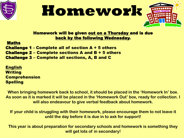





#### Homework will be given out on a Thursday and is due back by the following Wednesday.

#### Maths

Challenge 1 - Complete all of section A + 5 others Challenge 2 – Complete sections A and B + 5 others Challenge 3 – Complete all sections, A, B and C

English **Writing** Comprehension Spelling

**When bringing homework back to school, it should be placed in the 'Homework In' box. As soon as it is marked it will be placed in the 'Homework Out' box, ready for collection. I will also endeavour to give verbal feedback about homework.**

**If your child is struggling with their homework, please encourage them to not leave it until the day before it is due in to ask for support!** 

**This year is about preparation for secondary schools and homework is something they will get lots of in secondary!**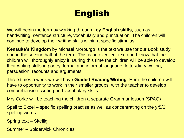### English

We will begin the term by working through **key English skills**, such as handwriting, sentence structure, vocabulary and punctuation. The children will continue to develop their writing skills within a specific stimulus.

**Kensuke's Kingdom** by Michael Morpurgo is the text we use for our Book study during the second half of the term. This is an excellent text and I know that the children will thoroughly enjoy it. During this time the children will be able to develop their writing skills in poetry, formal and informal language, letter/diary writing, persuasion, recounts and arguments.

Three times a week we will have **Guided Reading/Writing**. Here the children will have to opportunity to work in their smaller groups, with the teacher to develop comprehension, writing and vocabulary skills.

Mrs Corke will be teaching the children a separate Grammar lesson (SPAG)

Spell to Excel – specific spelling practise as well as concentrating on the yr5/6 spelling words

Spring text – Skellig

Summer – Spiderwick Chronicles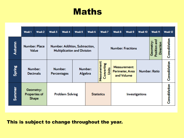### **Maths**

|        | Week <sub>1</sub>                                                                                     | Week 2 | Week 3 | Week 4                        | Week <sub>5</sub>                                                  | Week 6 | Week 7                                     | Week 8                                               | Week 9        | Week 10              | Week <sub>11</sub> | Week <sub>12</sub> |
|--------|-------------------------------------------------------------------------------------------------------|--------|--------|-------------------------------|--------------------------------------------------------------------|--------|--------------------------------------------|------------------------------------------------------|---------------|----------------------|--------------------|--------------------|
| Autumn | <b>Number: Place</b><br>Number: Addition, Subtraction,<br>Value<br><b>Multiplication and Division</b> |        |        |                               | 틉<br>Geometry<br>Direction<br>Position<br><b>Number: Fractions</b> |        |                                            |                                                      | Consolidation |                      |                    |                    |
| Spring | Number:<br><b>Decimals</b>                                                                            |        |        | Number:<br><b>Percentages</b> | Number:<br>Algebra                                                 |        | Measurement:<br>Converting<br><b>Units</b> | <b>Measurement:</b><br>Perimeter, Area<br>and Volume |               | <b>Number: Ratio</b> | Consolidation      |                    |
| Summer | Geometry:<br><b>Properties of</b><br><b>Shape</b>                                                     |        |        | <b>Problem Solving</b>        |                                                                    |        | <b>Statistics</b>                          | Investigations                                       |               |                      | Consolidation      |                    |

#### This is subject to change throughout the year.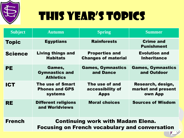

## This year's topics

| <b>Subject</b> | <b>Autumn</b>                                                                                     | <b>Spring</b>                                       | <b>Summer</b>                                      |  |  |  |  |
|----------------|---------------------------------------------------------------------------------------------------|-----------------------------------------------------|----------------------------------------------------|--|--|--|--|
| <b>Topic</b>   | <b>Egyptians</b>                                                                                  | <b>Rainforests</b>                                  | <b>Crime and</b><br><b>Punishment</b>              |  |  |  |  |
| <b>Science</b> | <b>Living things and</b><br><b>Habitats</b>                                                       | <b>Properties and</b><br><b>Changes of material</b> | <b>Evolution and</b><br><b>Inheritance</b>         |  |  |  |  |
| <b>PE</b>      | Games,<br><b>Gymnastics and</b><br><b>Athletics</b>                                               | <b>Games, Gymnastics</b><br>and Dance               | <b>Games, Gymnastics</b><br>and Outdoor            |  |  |  |  |
| <b>ICT</b>     | <b>The use of Smart</b><br><b>Phones and GPS</b><br><b>systems</b>                                | The use of and<br>accessibility of<br><b>Apps</b>   | Research, design,<br>market and present<br>own App |  |  |  |  |
| <b>RE</b>      | <b>Different religions</b><br>and Worldviews                                                      | <b>Moral choices</b>                                | <b>Sources of Wisdom</b>                           |  |  |  |  |
| <b>French</b>  | <b>Continuing work with Madam Elena.</b><br><b>Focusing on French vocabulary and conversation</b> |                                                     |                                                    |  |  |  |  |

 $V$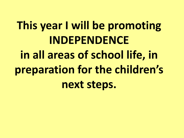## **This year I will be promoting INDEPENDENCE in all areas of school life, in preparation for the children's next steps.**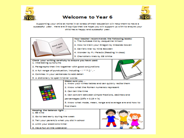

#### **Welcome to Year 6**



Supporting your child at home in all areas of their education will help them to have a successful year. Here are 5 top tips that we hope you will support us with to ensure your child has a happy and successful year.



- Your teacher recommends the following books: 1. The Suitcase Kid by Jacqueline Wilson
- 2. How to train your Dragon by Cressida Cowell
- 3. Carrie's War by Nina Bowden
- 4. Wonder by R J Palacio (Reading in class)
- 5. Charlotte's Web by EB White

Check your writing carefully to ensure you have used: 1. Interesting synonyms

- 2. Paragraphs that link together with good conjunctions
- 3. A full range of punctuation, including  $\pm$  \*\* ? ()1, -
- 4. Commas in your sentences to add detail



#### Mailte sure you ...

- 1. Know your times tables and can quickly recite them.
- 2. Know what the Roman numerals represent.
- 3. Can bell the time.
- 4. Can convert between simple fractions, decimals and
- percentages  $(25% = 0.25 = 3)$
- 5. Know what mode, mean, range and average are and how to
- find them.

Reeping the balance right ...

- **1. Be kind**
- 2. Go to bed early during the week
- 3. Tell your parent/s what you did in school
- 4. Limit your electronic time!
- 5. Have fun on the weekend!

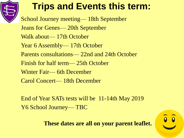

### **Trips and Events this term:**

School Journey meeting— 18th September Jeans for Genes— 20th September Walk about— 17th October Year 6 Assembly— 17th October Parents consultations— 22nd and 24th October Finish for half term— 25th October Winter Fair— 6th December Carol Concert— 18th December

End of Year SATs tests will be 11-14th May 2019 Y6 School Journey— TBC

**These dates are all on your parent leaflet.**